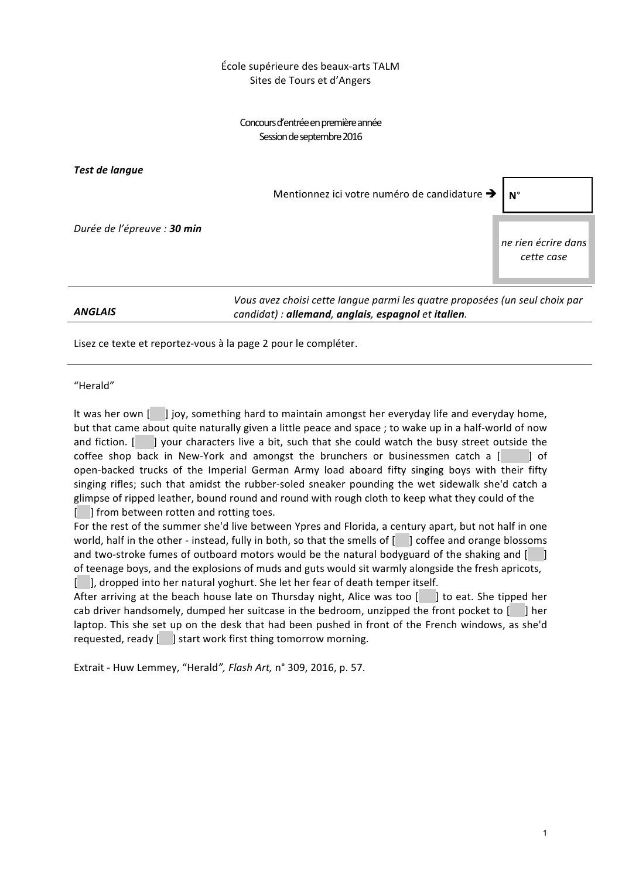## École supérieure des beaux-arts TALM Sites de Tours et d'Angers

Concours d'entrée en première année Session de septembre 2016

*Test de langue*

Mentionnez ici votre numéro de candidature **→** N°

*Durée de l'épreuve : 30 min*

*ANGLAIS*

*Vous avez choisi cette langue parmi les quatre proposées (un seul choix par candidat) : allemand, anglais, espagnol et italien.*

Lisez ce texte et reportez-vous à la page 2 pour le compléter.

"Herald"

It was her own [ ] joy, something hard to maintain amongst her everyday life and everyday home, but that came about quite naturally given a little peace and space ; to wake up in a half-world of now and fiction.  $\begin{bmatrix} \quad \quad \end{bmatrix}$  your characters live a bit, such that she could watch the busy street outside the coffee shop back in New-York and amongst the brunchers or businessmen catch a  $\begin{bmatrix} 1 \\ 0 \end{bmatrix}$  of open-backed trucks of the Imperial German Army load aboard fifty singing boys with their fifty singing rifles; such that amidst the rubber-soled sneaker pounding the wet sidewalk she'd catch a glimpse of ripped leather, bound round and round with rough cloth to keep what they could of the [ ] from between rotten and rotting toes.

For the rest of the summer she'd live between Ypres and Florida, a century apart, but not half in one world, half in the other - instead, fully in both, so that the smells of [  $\Box$ ] coffee and orange blossoms and two-stroke fumes of outboard motors would be the natural bodyguard of the shaking and [ of teenage boys, and the explosions of muds and guts would sit warmly alongside the fresh apricots, [ ], dropped into her natural yoghurt. She let her fear of death temper itself.

After arriving at the beach house late on Thursday night, Alice was too  $\begin{bmatrix} \cdot & \cdot \\ \cdot & \cdot \end{bmatrix}$  to eat. She tipped her cab driver handsomely, dumped her suitcase in the bedroom, unzipped the front pocket to [ ] her laptop. This she set up on the desk that had been pushed in front of the French windows, as she'd requested, ready [ ] start work first thing tomorrow morning.

Extrait - Huw Lemmey, "Herald", Flash Art, n° 309, 2016, p. 57.

*ne rien écrire dans cette case*